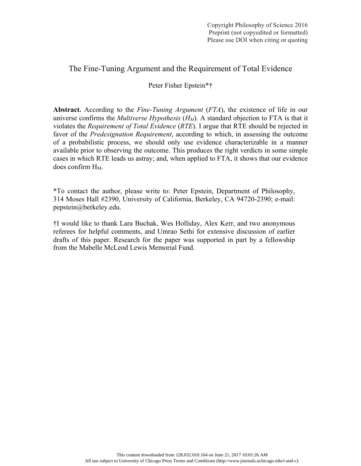## The Fine-Tuning Argument and the Requirement of Total Evidence

## Peter Fisher Epstein\*†

**Abstract.** According to the *Fine-Tuning Argument* (*FTA*), the existence of life in our universe confirms the *Multiverse Hypothesis*  $(H_M)$ . A standard objection to FTA is that it violates the *Requirement of Total Evidence* (*RTE*). I argue that RTE should be rejected in favor of the *Predesignation Requirement*, according to which, in assessing the outcome of a probabilistic process, we should only use evidence characterizable in a manner available prior to observing the outcome. This produces the right verdicts in some simple cases in which RTE leads us astray; and, when applied to FTA, it shows that our evidence does confirm  $H_M$ .

\*To contact the author, please write to: Peter Epstein, Department of Philosophy, 314 Moses Hall #2390, University of California, Berkeley, CA 94720-2390; e-mail: pepstein@berkeley.edu.

†I would like to thank Lara Buchak, Wes Holliday, Alex Kerr, and two anonymous referees for helpful comments, and Umrao Sethi for extensive discussion of earlier drafts of this paper. Research for the paper was supported in part by a fellowship from the Mabelle McLeod Lewis Memorial Fund.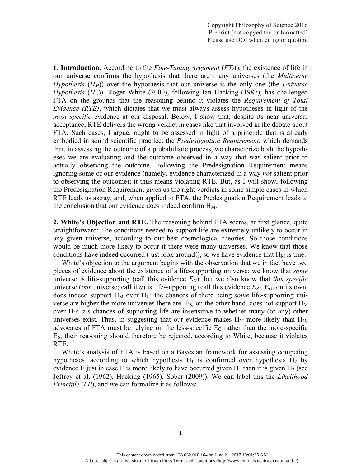**1. Introduction.** According to the *Fine-Tuning Argument* (*FTA*), the existence of life in our universe confirms the hypothesis that there are many universes (the *Multiverse Hypothesis*  $(H_M)$ ) over the hypothesis that our universe is the only one (the *Universe Hypothesis*  $(H_U)$ ). Roger White (2000), following Ian Hacking (1987), has challenged FTA on the grounds that the reasoning behind it violates the *Requirement of Total Evidence (RTE)*, which dictates that we must always assess hypotheses in light of the *most specific* evidence at our disposal. Below, I show that, despite its near universal acceptance, RTE delivers the wrong verdict in cases like that involved in the debate about FTA. Such cases, I argue, ought to be assessed in light of a principle that is already embodied in sound scientific practice: the *Predesignation Requirement*, which demands that, in assessing the outcome of a probabilistic process, we characterize both the hypotheses we are evaluating and the outcome observed in a way that was salient prior to actually observing the outcome. Following the Predesignation Requirement means ignoring some of our evidence (namely, evidence characterized in a way *not* salient prior to observing the outcome); it thus means violating RTE. But, as I will show, following the Predesignation Requirement gives us the right verdicts in some simple cases in which RTE leads us astray; and, when applied to FTA, the Predesignation Requirement leads to the conclusion that our evidence does indeed confirm  $H_M$ .

**2. White's Objection and RTE.** The reasoning behind FTA seems, at first glance, quite straightforward: The conditions needed to support life are extremely unlikely to occur in any given universe, according to our best cosmological theories. So those conditions would be much more likely to occur if there were many universes. We know that those conditions have indeed occurred (just look around!), so we have evidence that  $H_M$  is true.

White's objection to the argument begins with the observation that we in fact have two pieces of evidence about the existence of a life-supporting universe: we know that *some* universe is life-supporting (call this evidence  $E_G$ ); but we also know that *this specific* universe (*our* universe; call it  $\alpha$ ) is life-supporting (call this evidence  $E_s$ ). E<sub>G</sub>, on its own, does indeed support  $H_M$  over  $H_U$ : the chances of there being *some* life-supporting universe are higher the more universes there are.  $E_s$ , on the other hand, does not support  $H_M$ over  $H<sub>U</sub>$ : *α*'s chances of supporting life are insensitive to whether many (or any) other universes exist. Thus, in suggesting that our evidence makes  $H_M$  more likely than  $H_U$ , advocates of FTA must be relying on the less-specific  $E_G$  rather than the more-specific  $E_s$ ; their reasoning should therefore be rejected, according to White, because it violates RTE.

White's analysis of FTA is based on a Bayesian framework for assessing competing hypotheses, according to which hypothesis  $H_1$  is confirmed over hypothesis  $H_2$  by evidence E just in case E is more likely to have occurred given  $H_1$  than it is given  $H_2$  (see Jeffrey et al. (1962), Hacking (1965), Sober (2009)). We can label this the *Likelihood Principle (LP)*, and we can formalize it as follows: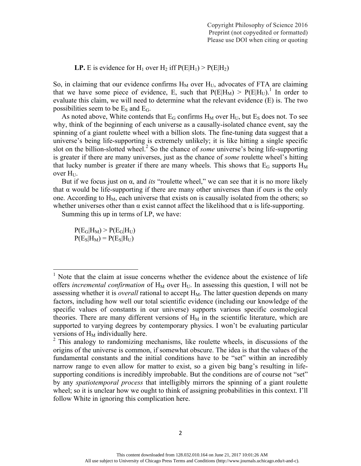## **LP.** E is evidence for H<sub>1</sub> over H<sub>2</sub> iff  $P(E|H_1) > P(E|H_2)$

So, in claiming that our evidence confirms  $H_M$  over  $H_U$ , advocates of FTA are claiming that we have some piece of evidence, E, such that  $P(E|H_M) > P(E|H_U)$ .<sup>1</sup> In order to evaluate this claim, we will need to determine what the relevant evidence (E) is. The two possibilities seem to be  $E<sub>S</sub>$  and  $E<sub>G</sub>$ .

As noted above, White contends that  $E_G$  confirms  $H_M$  over  $H_U$ , but  $E_S$  does not. To see why, think of the beginning of each universe as a causally-isolated chance event, say the spinning of a giant roulette wheel with a billion slots. The fine-tuning data suggest that a universe's being life-supporting is extremely unlikely; it is like hitting a single specific slot on the billion-slotted wheel.<sup>2</sup> So the chance of *some* universe's being life-supporting is greater if there are many universes, just as the chance of *some* roulette wheel's hitting that lucky number is greater if there are many wheels. This shows that  $E_G$  supports  $H_M$ over  $H_{U}$ .

But if we focus just on α, and *its* "roulette wheel," we can see that it is no more likely that  $\alpha$  would be life-supporting if there are many other universes than if ours is the only one. According to  $H_M$ , each universe that exists on is causally isolated from the others; so whether universes other than  $\alpha$  exist cannot affect the likelihood that  $\alpha$  is life-supporting.

Summing this up in terms of LP, we have:

 $P(E_G|H_M) > P(E_G|H_U)$  $P(E<sub>S</sub>|H<sub>M</sub>) = P(E<sub>S</sub>|H<sub>U</sub>)$ 

 <sup>1</sup> Note that the claim at issue concerns whether the evidence about the existence of life offers *incremental confirmation* of  $H_M$  over  $H_U$ . In assessing this question, I will not be assessing whether it is *overall* rational to accept  $H_M$ . The latter question depends on many factors, including how well our total scientific evidence (including our knowledge of the specific values of constants in our universe) supports various specific cosmological theories. There are many different versions of  $H_M$  in the scientific literature, which are supported to varying degrees by contemporary physics. I won't be evaluating particular versions of  $H_M$  individually here.

<sup>&</sup>lt;sup>2</sup> This analogy to randomizing mechanisms, like roulette wheels, in discussions of the origins of the universe is common, if somewhat obscure. The idea is that the values of the fundamental constants and the initial conditions have to be "set" within an incredibly narrow range to even allow for matter to exist, so a given big bang's resulting in lifesupporting conditions is incredibly improbable. But the conditions are of course not "set" by any *spatiotemporal process* that intelligibly mirrors the spinning of a giant roulette wheel; so it is unclear how we ought to think of assigning probabilities in this context. I'll follow White in ignoring this complication here.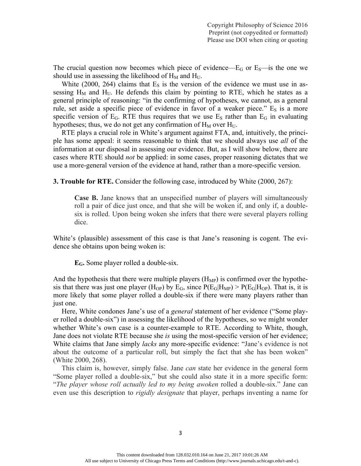The crucial question now becomes which piece of evidence— $E_G$  or  $E_S$ —is the one we should use in assessing the likelihood of  $H_M$  and  $H_U$ .

White (2000, 264) claims that  $E<sub>S</sub>$  is the version of the evidence we must use in assessing  $H_M$  and  $H_U$ . He defends this claim by pointing to RTE, which he states as a general principle of reasoning: "in the confirming of hypotheses, we cannot, as a general rule, set aside a specific piece of evidence in favor of a weaker piece."  $E_S$  is a more specific version of  $E_G$ . RTE thus requires that we use  $E_S$  rather than  $E_G$  in evaluating hypotheses; thus, we do not get any confirmation of  $H_M$  over  $H_U$ .

RTE plays a crucial role in White's argument against FTA, and, intuitively, the principle has some appeal: it seems reasonable to think that we should always use *all* of the information at our disposal in assessing our evidence. But, as I will show below, there are cases where RTE should *not* be applied: in some cases, proper reasoning dictates that we use a more-general version of the evidence at hand, rather than a more-specific version.

**3. Trouble for RTE.** Consider the following case, introduced by White (2000, 267):

**Case B.** Jane knows that an unspecified number of players will simultaneously roll a pair of dice just once, and that she will be woken if, and only if, a doublesix is rolled. Upon being woken she infers that there were several players rolling dice.

White's (plausible) assessment of this case is that Jane's reasoning is cogent. The evidence she obtains upon being woken is:

**EG.** Some player rolled a double-six.

And the hypothesis that there were multiple players  $(H_{MP})$  is confirmed over the hypothesis that there was just one player (H<sub>OP</sub>) by  $E_G$ , since  $P(E_G|H_{MP}) > P(E_G|H_{OP})$ . That is, it is more likely that some player rolled a double-six if there were many players rather than just one.

Here, White condones Jane's use of a *general* statement of her evidence ("Some player rolled a double-six") in assessing the likelihood of the hypotheses, so we might wonder whether White's own case is a counter-example to RTE. According to White, though, Jane does not violate RTE because she *is* using the most-specific version of her evidence; White claims that Jane simply *lacks* any more-specific evidence: "Jane's evidence is not about the outcome of a particular roll, but simply the fact that she has been woken" (White 2000, 268).

This claim is, however, simply false. Jane *can* state her evidence in the general form "Some player rolled a double-six," but she could also state it in a more specific form: "*The player whose roll actually led to my being awoken* rolled a double-six." Jane can even use this description to *rigidly designate* that player, perhaps inventing a name for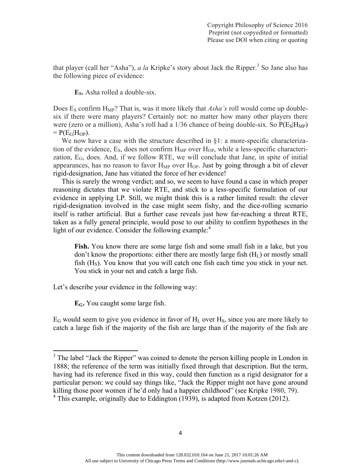that player (call her "Asha"), *a la* Kripke's story about Jack the Ripper.<sup>3</sup> So Jane also has the following piece of evidence:

**ES.** Asha rolled a double-six.

Does E<sub>S</sub> confirm H<sub>MP</sub>? That is, was it more likely that *Asha's* roll would come up doublesix if there were many players? Certainly not: no matter how many other players there were (zero or a million), Asha's roll had a 1/36 chance of being double-six. So  $P(E_S|H_{MP})$  $= P(E_G|H_{OP})$ .

We now have a case with the structure described in §1: a more-specific characterization of the evidence,  $E_s$ , does not confirm  $H_{MP}$  over  $H_{OP}$ , while a less-specific characterization, EG, does. And, if we follow RTE, we will conclude that Jane, in spite of initial appearances, has no reason to favor  $H_{MP}$  over  $H_{OP}$ . Just by going through a bit of clever rigid-designation, Jane has vitiated the force of her evidence!

This is surely the wrong verdict; and so, we seem to have found a case in which proper reasoning dictates that we violate RTE, and stick to a less-specific formulation of our evidence in applying LP. Still, we might think this is a rather limited result: the clever rigid-designation involved in the case might seem fishy, and the dice-rolling scenario itself is rather artificial. But a further case reveals just how far-reaching a threat RTE, taken as a fully general principle, would pose to our ability to confirm hypotheses in the light of our evidence. Consider the following example:<sup>4</sup>

**Fish.** You know there are some large fish and some small fish in a lake, but you don't know the proportions: either there are mostly large fish  $(H_L)$  or mostly small fish  $(H<sub>s</sub>)$ . You know that you will catch one fish each time you stick in your net. You stick in your net and catch a large fish.

Let's describe your evidence in the following way:

**EG.** You caught some large fish.

 $E_G$  would seem to give you evidence in favor of  $H_L$  over  $H_S$ , since you are more likely to catch a large fish if the majority of the fish are large than if the majority of the fish are

<sup>&</sup>lt;sup>3</sup> The label "Jack the Ripper" was coined to denote the person killing people in London in 1888; the reference of the term was initially fixed through that description. But the term, having had its reference fixed in this way, could then function as a rigid designator for a particular person: we could say things like, "Jack the Ripper might not have gone around killing those poor women if he'd only had a happier childhood" (see Kripke 1980, 79).

 $4$  This example, originally due to Eddington (1939), is adapted from Kotzen (2012).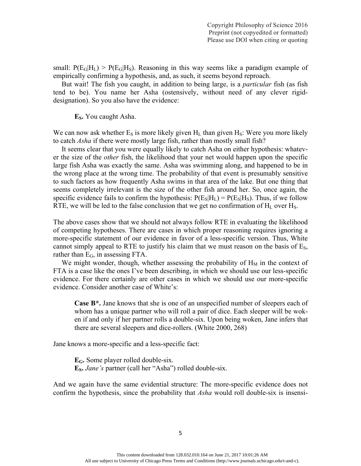small:  $P(E_G|H_I) > P(E_G|H_S)$ . Reasoning in this way seems like a paradigm example of empirically confirming a hypothesis, and, as such, it seems beyond reproach.

But wait! The fish you caught, in addition to being large, is a *particular* fish (as fish tend to be). You name her Asha (ostensively, without need of any clever rigiddesignation). So you also have the evidence:

**ES.** You caught Asha.

We can now ask whether  $E_S$  is more likely given  $H_L$  than given  $H_S$ : Were you more likely to catch *Asha* if there were mostly large fish, rather than mostly small fish?

It seems clear that you were equally likely to catch Asha on either hypothesis: whatever the size of the *other* fish, the likelihood that your net would happen upon the specific large fish Asha was exactly the same. Asha was swimming along, and happened to be in the wrong place at the wrong time. The probability of that event is presumably sensitive to such factors as how frequently Asha swims in that area of the lake. But one thing that seems completely irrelevant is the size of the other fish around her. So, once again, the specific evidence fails to confirm the hypothesis:  $P(E_S|H_L) = P(E_S|H_S)$ . Thus, if we follow RTE, we will be led to the false conclusion that we get no confirmation of  $H_L$  over  $H_S$ .

The above cases show that we should not always follow RTE in evaluating the likelihood of competing hypotheses. There are cases in which proper reasoning requires ignoring a more-specific statement of our evidence in favor of a less-specific version. Thus, White cannot simply appeal to RTE to justify his claim that we must reason on the basis of  $E_s$ , rather than  $E_G$ , in assessing FTA.

We might wonder, though, whether assessing the probability of  $H_M$  in the context of FTA is a case like the ones I've been describing, in which we should use our less-specific evidence. For there certainly are other cases in which we should use our more-specific evidence. Consider another case of White's:

**Case B\*.** Jane knows that she is one of an unspecified number of sleepers each of whom has a unique partner who will roll a pair of dice. Each sleeper will be woken if and only if her partner rolls a double-six. Upon being woken, Jane infers that there are several sleepers and dice-rollers. (White 2000, 268)

Jane knows a more-specific and a less-specific fact:

**EG.** Some player rolled double-six. **ES.** *Jane's* partner (call her "Asha") rolled double-six.

And we again have the same evidential structure: The more-specific evidence does not confirm the hypothesis, since the probability that *Asha* would roll double-six is insensi-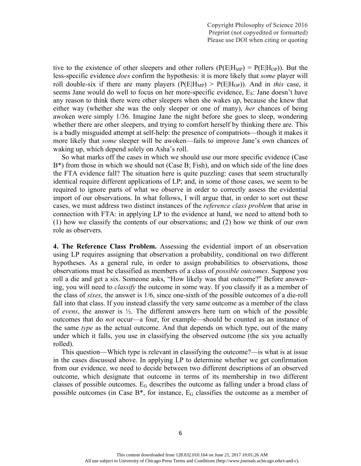tive to the existence of other sleepers and other rollers ( $P(E|H_{MP}) = P(E|H_{OP})$ ). But the less-specific evidence *does* confirm the hypothesis: it is more likely that *some* player will roll double-six if there are many players  $(P(E|H_{MP}) > P(E|H_{OP}))$ . And in *this* case, it seems Jane would do well to focus on her more-specific evidence,  $E_S$ : Jane doesn't have any reason to think there were other sleepers when she wakes up, because she knew that either way (whether she was the only sleeper or one of many), *her* chances of being awoken were simply 1/36. Imagine Jane the night before she goes to sleep, wondering whether there are other sleepers, and trying to comfort herself by thinking there are. This is a badly misguided attempt at self-help: the presence of compatriots—though it makes it more likely that *some* sleeper will be awoken—fails to improve Jane's own chances of waking up, which depend solely on Asha's roll.

So what marks off the cases in which we should use our more specific evidence (Case B\*) from those in which we should not (Case B; Fish), and on which side of the line does the FTA evidence fall? The situation here is quite puzzling: cases that seem structurally identical require different applications of LP; and, in some of those cases, we seem to be required to ignore parts of what we observe in order to correctly assess the evidential import of our observations. In what follows, I will argue that, in order to sort out these cases, we must address two distinct instances of the *reference class problem* that arise in connection with FTA: in applying LP to the evidence at hand, we need to attend both to (1) how we classify the contents of our observations; and (2) how we think of our own role as observers.

**4. The Reference Class Problem.** Assessing the evidential import of an observation using LP requires assigning that observation a probability, conditional on two different hypotheses. As a general rule, in order to assign probabilities to observations, those observations must be classified as members of a class of *possible outcomes*. Suppose you roll a die and get a six. Someone asks, "How likely was that outcome?" Before answering, you will need to *classify* the outcome in some way. If you classify it as a member of the class of *sixes*, the answer is 1/6, since one-sixth of the possible outcomes of a die-roll fall into that class. If you instead classify the very same outcome as a member of the class of *evens*, the answer is ½. The different answers here turn on which of the possible outcomes that do *not* occur—a four, for example—should be counted as an instance of the same *type* as the actual outcome. And that depends on which type, out of the many under which it falls, you use in classifying the observed outcome (the six you actually rolled).

This question—Which type is relevant in classifying the outcome?—is what is at issue in the cases discussed above. In applying LP to determine whether we get confirmation from our evidence, we need to decide between two different descriptions of an observed outcome, which designate that outcome in terms of its membership in two different classes of possible outcomes.  $E_G$  describes the outcome as falling under a broad class of possible outcomes (in Case  $B^*$ , for instance,  $E_G$  classifies the outcome as a member of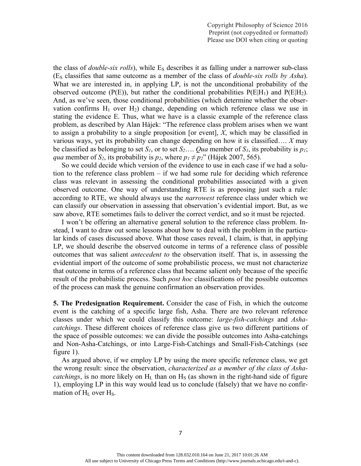the class of *double-six rolls*), while E<sub>S</sub> describes it as falling under a narrower sub-class (ES classifies that same outcome as a member of the class of *double-six rolls by Asha*). What we are interested in, in applying LP, is not the unconditional probability of the observed outcome ( $P(E)$ ), but rather the conditional probabilities  $P(E|H_1)$  and  $P(E|H_2)$ . And, as we've seen, those conditional probabilities (which determine whether the observation confirms  $H_1$  over  $H_2$ ) change, depending on which reference class we use in stating the evidence E. Thus, what we have is a classic example of the reference class problem, as described by Alan Hájek: "The reference class problem arises when we want to assign a probability to a single proposition [or event], *X*, which may be classified in various ways, yet its probability can change depending on how it is classified…. *X* may be classified as belonging to set  $S_1$ , or to set  $S_2$ .... *Qua* member of  $S_1$ , its probability is  $p_1$ ; *qua* member of  $S_2$ , its probability is  $p_2$ , where  $p_1 \neq p_2$ " (Hájek 2007, 565).

So we could decide which version of the evidence to use in each case if we had a solution to the reference class problem – if we had some rule for deciding which reference class was relevant in assessing the conditional probabilities associated with a given observed outcome. One way of understanding RTE is as proposing just such a rule: according to RTE, we should always use the *narrowest* reference class under which we can classify our observation in assessing that observation's evidential import. But, as we saw above, RTE sometimes fails to deliver the correct verdict, and so it must be rejected.

I won't be offering an alternative general solution to the reference class problem. Instead, I want to draw out some lessons about how to deal with the problem in the particular kinds of cases discussed above. What those cases reveal, I claim, is that, in applying LP, we should describe the observed outcome in terms of a reference class of possible outcomes that was salient *antecedent to* the observation itself. That is, in assessing the evidential import of the outcome of some probabilistic process, we must not characterize that outcome in terms of a reference class that became salient only because of the specific result of the probabilistic process. Such *post hoc* classifications of the possible outcomes of the process can mask the genuine confirmation an observation provides.

**5. The Predesignation Requirement.** Consider the case of Fish, in which the outcome event is the catching of a specific large fish, Asha. There are two relevant reference classes under which we could classify this outcome: *large-fish-catchings* and *Ashacatchings*. These different choices of reference class give us two different partitions of the space of possible outcomes: we can divide the possible outcomes into Asha-catchings and Non-Asha-Catchings, or into Large-Fish-Catchings and Small-Fish-Catchings (see figure 1).

As argued above, if we employ LP by using the more specific reference class, we get the wrong result: since the observation, *characterized as a member of the class of Ashacatchings*, is no more likely on  $H<sub>L</sub>$  than on  $H<sub>S</sub>$  (as shown in the right-hand side of figure 1), employing LP in this way would lead us to conclude (falsely) that we have no confirmation of  $H<sub>L</sub>$  over  $H<sub>S</sub>$ .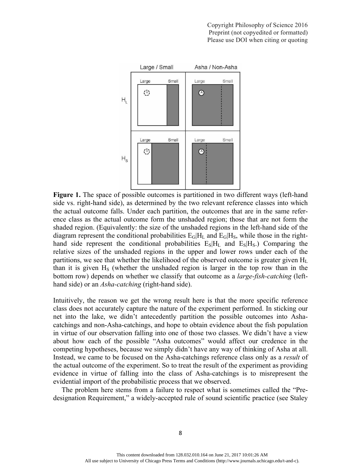

Figure 1. The space of possible outcomes is partitioned in two different ways (left-hand side vs. right-hand side), as determined by the two relevant reference classes into which the actual outcome falls. Under each partition, the outcomes that are in the same reference class as the actual outcome form the unshaded region; those that are not form the shaded region. (Equivalently: the size of the unshaded regions in the left-hand side of the diagram represent the conditional probabilities  $E_G|H_L$  and  $E_G|H_S$ , while those in the righthand side represent the conditional probabilities  $E_s|H_l$  and  $E_s|H_s$ .) Comparing the relative sizes of the unshaded regions in the upper and lower rows under each of the partitions, we see that whether the likelihood of the observed outcome is greater given  $H_L$ than it is given  $H<sub>S</sub>$  (whether the unshaded region is larger in the top row than in the bottom row) depends on whether we classify that outcome as a *large-fish-catching* (lefthand side) or an *Asha-catching* (right-hand side).

Intuitively, the reason we get the wrong result here is that the more specific reference class does not accurately capture the nature of the experiment performed. In sticking our net into the lake, we didn't antecedently partition the possible outcomes into Ashacatchings and non-Asha-catchings, and hope to obtain evidence about the fish population in virtue of our observation falling into one of those two classes. We didn't have a view about how each of the possible "Asha outcomes" would affect our credence in the competing hypotheses, because we simply didn't have any way of thinking of Asha at all. Instead, we came to be focused on the Asha-catchings reference class only as a *result* of the actual outcome of the experiment. So to treat the result of the experiment as providing evidence in virtue of falling into the class of Asha-catchings is to misrepresent the evidential import of the probabilistic process that we observed.

The problem here stems from a failure to respect what is sometimes called the "Predesignation Requirement," a widely-accepted rule of sound scientific practice (see Staley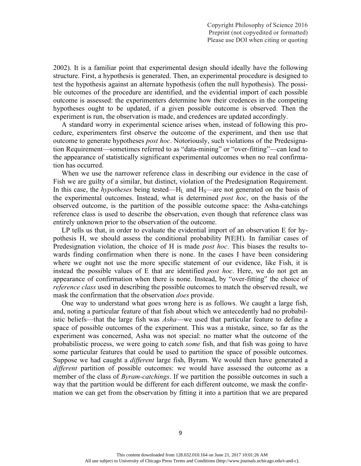2002). It is a familiar point that experimental design should ideally have the following structure. First, a hypothesis is generated. Then, an experimental procedure is designed to test the hypothesis against an alternate hypothesis (often the null hypothesis). The possible outcomes of the procedure are identified, and the evidential import of each possible outcome is assessed: the experimenters determine how their credences in the competing hypotheses ought to be updated, if a given possible outcome is observed. Then the experiment is run, the observation is made, and credences are updated accordingly.

A standard worry in experimental science arises when, instead of following this procedure, experimenters first observe the outcome of the experiment, and then use that outcome to generate hypotheses *post hoc*. Notoriously, such violations of the Predesignation Requirement—sometimes referred to as "data-mining" or "over-fitting"—can lead to the appearance of statistically significant experimental outcomes when no real confirmation has occurred.

When we use the narrower reference class in describing our evidence in the case of Fish we are guilty of a similar, but distinct, violation of the Predesignation Requirement. In this case, the *hypotheses* being tested—H<sub>L</sub> and  $H<sub>S</sub>$ —are not generated on the basis of the experimental outcomes. Instead, what is determined *post hoc*, on the basis of the observed outcome, is the partition of the possible outcome space: the Asha-catchings reference class is used to describe the observation, even though that reference class was entirely unknown prior to the observation of the outcome.

LP tells us that, in order to evaluate the evidential import of an observation E for hypothesis H, we should assess the conditional probability P(E|H). In familiar cases of Predesignation violation, the choice of H is made *post hoc*. This biases the results towards finding confirmation when there is none. In the cases I have been considering where we ought not use the more specific statement of our evidence, like Fish, it is instead the possible values of E that are identified *post hoc*. Here, we do not get an appearance of confirmation when there is none. Instead, by "over-fitting" the choice of *reference class* used in describing the possible outcomes to match the observed result, we mask the confirmation that the observation *does* provide.

One way to understand what goes wrong here is as follows. We caught a large fish, and, noting a particular feature of that fish about which we antecedently had no probabilistic beliefs—that the large fish was *Asha*—we used that particular feature to define a space of possible outcomes of the experiment. This was a mistake, since, so far as the experiment was concerned, Asha was not special: no matter what the outcome of the probabilistic process, we were going to catch *some* fish, and that fish was going to have some particular features that could be used to partition the space of possible outcomes. Suppose we had caught a *different* large fish, Byram. We would then have generated a *different* partition of possible outcomes: we would have assessed the outcome as a member of the class of *Byram-catchings*. If we partition the possible outcomes in such a way that the partition would be different for each different outcome, we mask the confirmation we can get from the observation by fitting it into a partition that we are prepared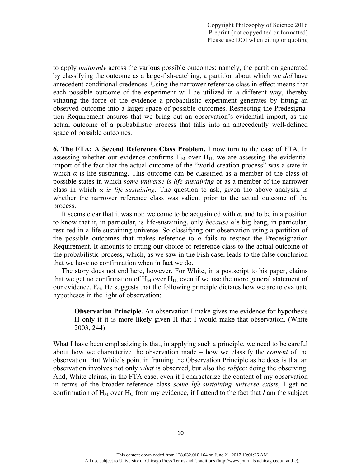to apply *uniformly* across the various possible outcomes: namely, the partition generated by classifying the outcome as a large-fish-catching, a partition about which we *did* have antecedent conditional credences. Using the narrower reference class in effect means that each possible outcome of the experiment will be utilized in a different way, thereby vitiating the force of the evidence a probabilistic experiment generates by fitting an observed outcome into a larger space of possible outcomes. Respecting the Predesignation Requirement ensures that we bring out an observation's evidential import, as the actual outcome of a probabilistic process that falls into an antecedently well-defined space of possible outcomes.

**6. The FTA: A Second Reference Class Problem.** I now turn to the case of FTA. In assessing whether our evidence confirms  $H_M$  over  $H_U$ , we are assessing the evidential import of the fact that the actual outcome of the "world-creation process" was a state in which  $\alpha$  is life-sustaining. This outcome can be classified as a member of the class of possible states in which *some universe is life-sustaining* or as a member of the narrower class in which *α is life-sustaining*. The question to ask, given the above analysis, is whether the narrower reference class was salient prior to the actual outcome of the process.

It seems clear that it was not: we come to be acquainted with  $\alpha$ , and to be in a position to know that it, in particular, is life-sustaining, only *because α*'s big bang, in particular, resulted in a life-sustaining universe. So classifying our observation using a partition of the possible outcomes that makes reference to  $\alpha$  fails to respect the Predesignation Requirement. It amounts to fitting our choice of reference class to the actual outcome of the probabilistic process, which, as we saw in the Fish case, leads to the false conclusion that we have no confirmation when in fact we do.

The story does not end here, however. For White, in a postscript to his paper, claims that we get no confirmation of  $H_M$  over  $H_U$ , even if we use the more general statement of our evidence, EG. He suggests that the following principle dictates how we are to evaluate hypotheses in the light of observation:

**Observation Principle.** An observation I make gives me evidence for hypothesis H only if it is more likely given H that I would make that observation. (White 2003, 244)

What I have been emphasizing is that, in applying such a principle, we need to be careful about how we characterize the observation made – how we classify the *content* of the observation. But White's point in framing the Observation Principle as he does is that an observation involves not only *what* is observed, but also the *subject* doing the observing. And, White claims, in the FTA case, even if I characterize the content of my observation in terms of the broader reference class *some life-sustaining universe exists*, I get no confirmation of  $H_M$  over  $H_U$  from my evidence, if I attend to the fact that *I* am the subject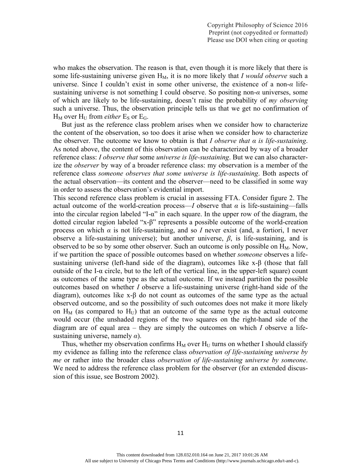who makes the observation. The reason is that, even though it is more likely that there is some life-sustaining universe given H<sub>M</sub>, it is no more likely that *I would observe* such a universe. Since I couldn't exist in some other universe, the existence of a non-*α* lifesustaining universe is not something I could observe. So positing non-*α* universes, some of which are likely to be life-sustaining, doesn't raise the probability of *my observing* such a universe. Thus, the observation principle tells us that we get no confirmation of  $H_M$  over  $H_U$  from *either*  $E_S$  or  $E_G$ .

But just as the reference class problem arises when we consider how to characterize the content of the observation, so too does it arise when we consider how to characterize the observer. The outcome we know to obtain is that *I observe that α is life-sustaining*. As noted above, the content of this observation can be characterized by way of a broader reference class: *I observe that* some *universe is life-sustaining*. But we can also characterize the *observer* by way of a broader reference class: my observation is a member of the reference class *someone observes that some universe is life-sustaining*. Both aspects of the actual observation—its content and the observer—need to be classified in some way in order to assess the observation's evidential import.

This second reference class problem is crucial in assessing FTA. Consider figure 2. The actual outcome of the world-creation process—*I* observe that  $\alpha$  is life-sustaining—falls into the circular region labeled "I- $\alpha$ " in each square. In the upper row of the diagram, the dotted circular region labeled "x-β" represents a possible outcome of the world-creation process on which  $\alpha$  is not life-sustaining, and so *I* never exist (and, a fortiori, I never observe a life-sustaining universe); but another universe,  $\beta$ , is life-sustaining, and is observed to be so by some other observer. Such an outcome is only possible on  $H_M$ . Now, if we partition the space of possible outcomes based on whether *someone* observes a lifesustaining universe (left-hand side of the diagram), outcomes like x-β (those that fall outside of the I-α circle, but to the left of the vertical line, in the upper-left square) count as outcomes of the same type as the actual outcome. If we instead partition the possible outcomes based on whether *I* observe a life-sustaining universe (right-hand side of the diagram), outcomes like x-β do not count as outcomes of the same type as the actual observed outcome, and so the possibility of such outcomes does not make it more likely on  $H_M$  (as compared to  $H_U$ ) that an outcome of the same type as the actual outcome would occur (the unshaded regions of the two squares on the right-hand side of the diagram are of equal area – they are simply the outcomes on which *I* observe a lifesustaining universe, namely *α*).

Thus, whether my observation confirms  $H_M$  over  $H_U$  turns on whether I should classify my evidence as falling into the reference class *observation of life-sustaining universe by me* or rather into the broader class *observation of life-sustaining universe by someone*. We need to address the reference class problem for the observer (for an extended discussion of this issue, see Bostrom 2002).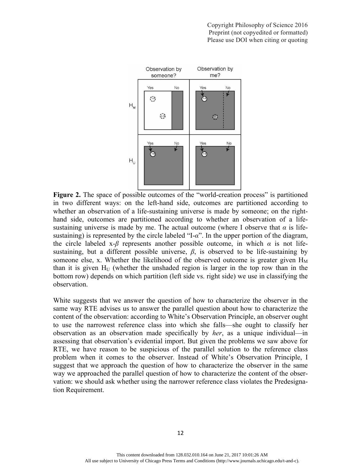

**Figure 2.** The space of possible outcomes of the "world-creation process" is partitioned in two different ways: on the left-hand side, outcomes are partitioned according to whether an observation of a life-sustaining universe is made by someone; on the righthand side, outcomes are partitioned according to whether an observation of a lifesustaining universe is made by me. The actual outcome (where I observe that  $\alpha$  is lifesustaining) is represented by the circle labeled "I-*α*". In the upper portion of the diagram, the circle labeled x- $\beta$  represents another possible outcome, in which  $\alpha$  is not lifesustaining, but a different possible universe,  $\beta$ , is observed to be life-sustaining by someone else, x. Whether the likelihood of the observed outcome is greater given  $H_M$ than it is given  $H_U$  (whether the unshaded region is larger in the top row than in the bottom row) depends on which partition (left side vs. right side) we use in classifying the observation.

White suggests that we answer the question of how to characterize the observer in the same way RTE advises us to answer the parallel question about how to characterize the content of the observation: according to White's Observation Principle, an observer ought to use the narrowest reference class into which she falls—she ought to classify her observation as an observation made specifically by *her*, as a unique individual—in assessing that observation's evidential import. But given the problems we saw above for RTE, we have reason to be suspicious of the parallel solution to the reference class problem when it comes to the observer. Instead of White's Observation Principle, I suggest that we approach the question of how to characterize the observer in the same way we approached the parallel question of how to characterize the content of the observation: we should ask whether using the narrower reference class violates the Predesignation Requirement.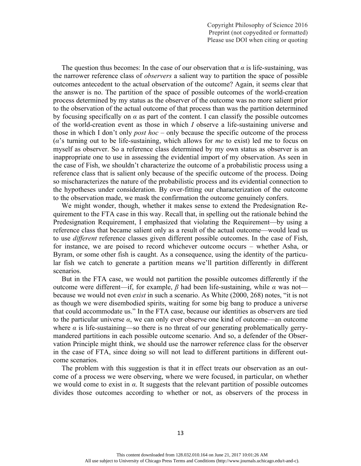The question thus becomes: In the case of our observation that  $\alpha$  is life-sustaining, was the narrower reference class of *observers* a salient way to partition the space of possible outcomes antecedent to the actual observation of the outcome? Again, it seems clear that the answer is no. The partition of the space of possible outcomes of the world-creation process determined by my status as the observer of the outcome was no more salient prior to the observation of the actual outcome of that process than was the partition determined by focusing specifically on  $\alpha$  as part of the content. I can classify the possible outcomes of the world-creation event as those in which *I* observe a life-sustaining universe and those in which I don't only *post hoc* – only because the specific outcome of the process (*α*'s turning out to be life-sustaining, which allows for *me* to exist) led me to focus on myself as observer. So a reference class determined by my own status as observer is an inappropriate one to use in assessing the evidential import of my observation. As seen in the case of Fish, we shouldn't characterize the outcome of a probabilistic process using a reference class that is salient only because of the specific outcome of the process. Doing so mischaracterizes the nature of the probabilistic process and its evidential connection to the hypotheses under consideration. By over-fitting our characterization of the outcome to the observation made, we mask the confirmation the outcome genuinely confers.

We might wonder, though, whether it makes sense to extend the Predesignation Requirement to the FTA case in this way. Recall that, in spelling out the rationale behind the Predesignation Requirement, I emphasized that violating the Requirement—by using a reference class that became salient only as a result of the actual outcome—would lead us to use *different* reference classes given different possible outcomes. In the case of Fish, for instance, we are poised to record whichever outcome occurs – whether Asha, or Byram, or some other fish is caught. As a consequence, using the identity of the particular fish we catch to generate a partition means we'll partition differently in different scenarios.

But in the FTA case, we would not partition the possible outcomes differently if the outcome were different—if, for example, *β* had been life-sustaining, while *α* was not because we would not even *exist* in such a scenario. As White (2000, 268) notes, "it is not as though we were disembodied spirits, waiting for some big bang to produce a universe that could accommodate us." In the FTA case, because our identities as observers are tied to the particular universe *α*, we can only ever observe one kind of outcome—an outcome where  $\alpha$  is life-sustaining—so there is no threat of our generating problematically gerrymandered partitions in each possible outcome scenario. And so, a defender of the Observation Principle might think, we should use the narrower reference class for the observer in the case of FTA, since doing so will not lead to different partitions in different outcome scenarios.

The problem with this suggestion is that it in effect treats our observation as an outcome of a process we were observing, where we were focused, in particular, on whether we would come to exist in  $\alpha$ . It suggests that the relevant partition of possible outcomes divides those outcomes according to whether or not, as observers of the process in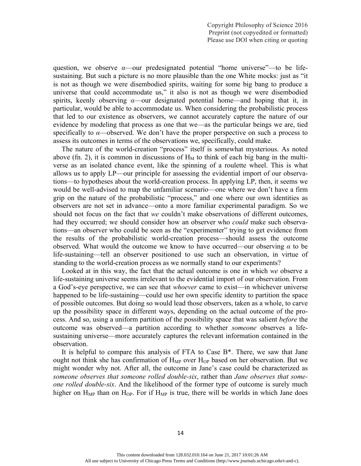question, we observe *α*—our predesignated potential "home universe"—to be lifesustaining. But such a picture is no more plausible than the one White mocks: just as "it is not as though we were disembodied spirits, waiting for some big bang to produce a universe that could accommodate us," it also is not as though we were disembodied spirits, keenly observing *α*—our designated potential home—and hoping that it, in particular, would be able to accommodate us. When considering the probabilistic process that led to our existence as observers, we cannot accurately capture the nature of our evidence by modeling that process as one that we—as the particular beings we are, tied specifically to *α*—observed. We don't have the proper perspective on such a process to assess its outcomes in terms of the observations we, specifically, could make.

The nature of the world-creation "process" itself is somewhat mysterious. As noted above (fn. 2), it is common in discussions of  $H_M$  to think of each big bang in the multiverse as an isolated chance event, like the spinning of a roulette wheel. This is what allows us to apply LP—our principle for assessing the evidential import of our observations—to hypotheses about the world-creation process. In applying LP, then, it seems we would be well-advised to map the unfamiliar scenario—one where we don't have a firm grip on the nature of the probabilistic "process," and one where our own identities as observers are not set in advance—onto a more familiar experimental paradigm. So we should not focus on the fact that *we* couldn't make observations of different outcomes, had they occurred; we should consider how an observer who *could* make such observations—an observer who could be seen as the "experimenter" trying to get evidence from the results of the probabilistic world-creation process—should assess the outcome observed. What would the outcome we know to have occurred—our observing *α* to be life-sustaining—tell an observer positioned to use such an observation, in virtue of standing to the world-creation process as we normally stand to our experiments?

Looked at in this way, the fact that the actual outcome is one in which *we* observe a life-sustaining universe seems irrelevant to the evidential import of our observation. From a God's-eye perspective, we can see that *whoever* came to exist—in whichever universe happened to be life-sustaining—could use her own specific identity to partition the space of possible outcomes. But doing so would lead those observers, taken as a whole, to carve up the possibility space in different ways, depending on the actual outcome of the process. And so, using a uniform partition of the possibility space that was salient *before* the outcome was observed—a partition according to whether *someone* observes a lifesustaining universe—more accurately captures the relevant information contained in the observation.

It is helpful to compare this analysis of  $FTA$  to Case  $B^*$ . There, we saw that Jane ought not think she has confirmation of  $H_{MP}$  over  $H_{OP}$  based on her observation. But we might wonder why not. After all, the outcome in Jane's case could be characterized as *someone observes that someone rolled double-six*, rather than *Jane observes that someone rolled double-six*. And the likelihood of the former type of outcome is surely much higher on  $H_{MP}$  than on  $H_{OP}$ . For if  $H_{MP}$  is true, there will be worlds in which Jane does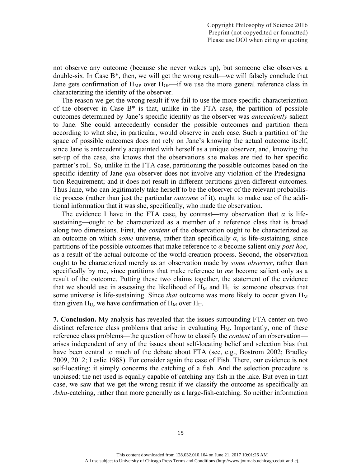not observe any outcome (because she never wakes up), but someone else observes a double-six. In Case B\*, then, we will get the wrong result—we will falsely conclude that Jane gets confirmation of  $H_{MP}$  over  $H_{OP}$ —if we use the more general reference class in characterizing the identity of the observer.

The reason we get the wrong result if we fail to use the more specific characterization of the observer in Case  $B^*$  is that, unlike in the FTA case, the partition of possible outcomes determined by Jane's specific identity as the observer was *antecedently* salient to Jane. She could antecedently consider the possible outcomes and partition them according to what she, in particular, would observe in each case. Such a partition of the space of possible outcomes does not rely on Jane's knowing the actual outcome itself, since Jane is antecedently acquainted with herself as a unique observer, and, knowing the set-up of the case, she knows that the observations she makes are tied to her specific partner's roll. So, unlike in the FTA case, partitioning the possible outcomes based on the specific identity of Jane *qua* observer does not involve any violation of the Predesignation Requirement; and it does not result in different partitions given different outcomes. Thus Jane, who can legitimately take herself to be the observer of the relevant probabilistic process (rather than just the particular *outcome* of it), ought to make use of the additional information that it was she, specifically, who made the observation.

The evidence I have in the FTA case, by contrast—my observation that  $\alpha$  is lifesustaining—ought to be characterized as a member of a reference class that is broad along two dimensions. First, the *content* of the observation ought to be characterized as an outcome on which *some* universe, rather than specifically  $\alpha$ , is life-sustaining, since partitions of the possible outcomes that make reference to *α* become salient only *post hoc*, as a result of the actual outcome of the world-creation process. Second, the observation ought to be characterized merely as an observation made by *some observer*, rather than specifically by me, since partitions that make reference to *me* become salient only as a result of the outcome. Putting these two claims together, the statement of the evidence that we should use in assessing the likelihood of  $H_M$  and  $H_U$  is: someone observes that some universe is life-sustaining. Since *that* outcome was more likely to occur given  $H_M$ than given  $H_U$ , we have confirmation of  $H_M$  over  $H_U$ .

**7. Conclusion.** My analysis has revealed that the issues surrounding FTA center on two distinct reference class problems that arise in evaluating  $H_M$ . Importantly, one of these reference class problems—the question of how to classify the *content* of an observation arises independent of any of the issues about self-locating belief and selection bias that have been central to much of the debate about FTA (see, e.g., Bostrom 2002; Bradley 2009, 2012; Leslie 1988). For consider again the case of Fish. There, our evidence is not self-locating: it simply concerns the catching of a fish. And the selection procedure is unbiased: the net used is equally capable of catching any fish in the lake. But even in that case, we saw that we get the wrong result if we classify the outcome as specifically an *Asha*-catching, rather than more generally as a large-fish-catching. So neither information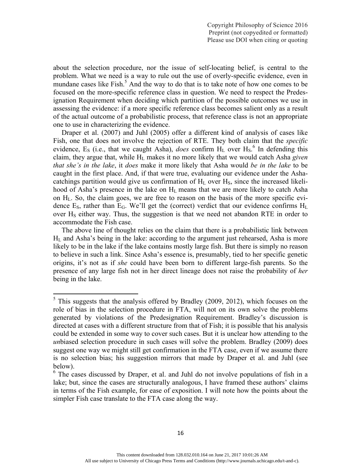about the selection procedure, nor the issue of self-locating belief, is central to the problem. What we need is a way to rule out the use of overly-specific evidence, even in mundane cases like Fish.<sup>5</sup> And the way to do that is to take note of how one comes to be focused on the more-specific reference class in question. We need to respect the Predesignation Requirement when deciding which partition of the possible outcomes we use in assessing the evidence: if a more specific reference class becomes salient only as a result of the actual outcome of a probabilistic process, that reference class is not an appropriate one to use in characterizing the evidence.

Draper et al. (2007) and Juhl (2005) offer a different kind of analysis of cases like Fish, one that does not involve the rejection of RTE. They both claim that the *specific* evidence,  $E_S$  (i.e., that we caught Asha), *does* confirm  $H_L$  over  $H_S$ .<sup>6</sup> In defending this claim, they argue that, while HL makes it no more likely that we would catch Asha *given that she's in the lake*, it *does* make it more likely that Asha would *be in the lake* to be caught in the first place. And, if that were true, evaluating our evidence under the Ashacatchings partition would give us confirmation of  $H<sub>L</sub>$  over  $H<sub>S</sub>$ , since the increased likelihood of Asha's presence in the lake on H<sub>L</sub> means that we are more likely to catch Asha on HL. So, the claim goes, we are free to reason on the basis of the more specific evidence  $E_S$ , rather than  $E_G$ . We'll get the (correct) verdict that our evidence confirms  $H_L$ over H<sub>S</sub> either way. Thus, the suggestion is that we need not abandon RTE in order to accommodate the Fish case.

The above line of thought relies on the claim that there is a probabilistic link between HL and Asha's being in the lake: according to the argument just rehearsed, Asha is more likely to be in the lake if the lake contains mostly large fish. But there is simply no reason to believe in such a link. Since Asha's essence is, presumably, tied to her specific genetic origins, it's not as if *she* could have been born to different large-fish parents. So the presence of any large fish not in her direct lineage does not raise the probability of *her* being in the lake.

 $<sup>5</sup>$  This suggests that the analysis offered by Bradley (2009, 2012), which focuses on the</sup> role of bias in the selection procedure in FTA, will not on its own solve the problems generated by violations of the Predesignation Requirement. Bradley's discussion is directed at cases with a different structure from that of Fish; it is possible that his analysis could be extended in some way to cover such cases. But it is unclear how attending to the *un*biased selection procedure in such cases will solve the problem. Bradley (2009) does suggest one way we might still get confirmation in the FTA case, even if we assume there is no selection bias; his suggestion mirrors that made by Draper et al. and Juhl (see below).

<sup>&</sup>lt;sup>6</sup> The cases discussed by Draper, et al. and Juhl do not involve populations of fish in a lake; but, since the cases are structurally analogous, I have framed these authors' claims in terms of the Fish example, for ease of exposition. I will note how the points about the simpler Fish case translate to the FTA case along the way.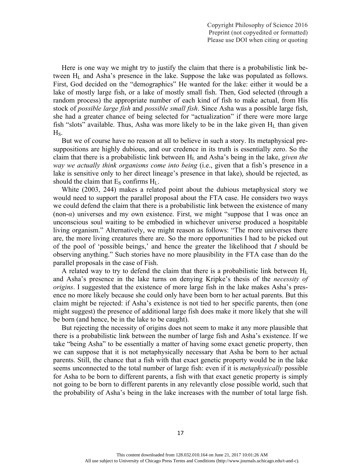Here is one way we might try to justify the claim that there is a probabilistic link between H<sub>L</sub> and Asha's presence in the lake. Suppose the lake was populated as follows. First, God decided on the "demographics" He wanted for the lake: either it would be a lake of mostly large fish, or a lake of mostly small fish. Then, God selected (through a random process) the appropriate number of each kind of fish to make actual, from His stock of *possible large fish* and *possible small fish*. Since Asha was a possible large fish, she had a greater chance of being selected for "actualization" if there were more large fish "slots" available. Thus, Asha was more likely to be in the lake given  $H_L$  than given  $H_s$ .

But we of course have no reason at all to believe in such a story. Its metaphysical presuppositions are highly dubious, and our credence in its truth is essentially zero. So the claim that there is a probabilistic link between HL and Asha's being in the lake, *given the way we actually think organisms come into being* (i.e., given that a fish's presence in a lake is sensitive only to her direct lineage's presence in that lake), should be rejected, as should the claim that  $E_S$  confirms  $H_L$ .

White (2003, 244) makes a related point about the dubious metaphysical story we would need to support the parallel proposal about the FTA case. He considers two ways we could defend the claim that there is a probabilistic link between the existence of many (non- $\alpha$ ) universes and my own existence. First, we might "suppose that I was once an unconscious soul waiting to be embodied in whichever universe produced a hospitable living organism." Alternatively, we might reason as follows: "The more universes there are, the more living creatures there are. So the more opportunities I had to be picked out of the pool of 'possible beings,' and hence the greater the likelihood that *I* should be observing anything." Such stories have no more plausibility in the FTA case than do the parallel proposals in the case of Fish.

A related way to try to defend the claim that there is a probabilistic link between  $H_L$ and Asha's presence in the lake turns on denying Kripke's thesis of the *necessity of origins*. I suggested that the existence of more large fish in the lake makes Asha's presence no more likely because she could only have been born to her actual parents. But this claim might be rejected: if Asha's existence is not tied to her specific parents, then (one might suggest) the presence of additional large fish does make it more likely that she will be born (and hence, be in the lake to be caught).

But rejecting the necessity of origins does not seem to make it any more plausible that there is a probabilistic link between the number of large fish and Asha's existence. If we take "being Asha" to be essentially a matter of having some exact genetic property, then we can suppose that it is not metaphysically necessary that Asha be born to her actual parents. Still, the chance that a fish with that exact genetic property would be in the lake seems unconnected to the total number of large fish: even if it is *metaphysically* possible for Asha to be born to different parents, a fish with that exact genetic property is simply not going to be born to different parents in any relevantly close possible world, such that the probability of Asha's being in the lake increases with the number of total large fish.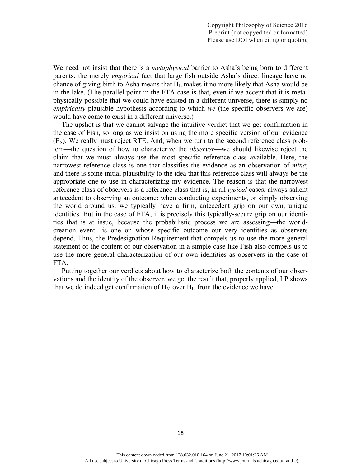We need not insist that there is a *metaphysical* barrier to Asha's being born to different parents; the merely *empirical* fact that large fish outside Asha's direct lineage have no chance of giving birth to Asha means that  $H_L$  makes it no more likely that Asha would be in the lake. (The parallel point in the FTA case is that, even if we accept that it is metaphysically possible that we could have existed in a different universe, there is simply no *empirically* plausible hypothesis according to which *we* (the specific observers we are) would have come to exist in a different universe.)

The upshot is that we cannot salvage the intuitive verdict that we get confirmation in the case of Fish, so long as we insist on using the more specific version of our evidence (E<sub>S</sub>). We really must reject RTE. And, when we turn to the second reference class problem—the question of how to characterize the *observer*—we should likewise reject the claim that we must always use the most specific reference class available. Here, the narrowest reference class is one that classifies the evidence as an observation of *mine*; and there is some initial plausibility to the idea that this reference class will always be the appropriate one to use in characterizing my evidence. The reason is that the narrowest reference class of observers is a reference class that is, in all *typical* cases, always salient antecedent to observing an outcome: when conducting experiments, or simply observing the world around us, we typically have a firm, antecedent grip on our own, unique identities. But in the case of FTA, it is precisely this typically-secure grip on our identities that is at issue, because the probabilistic process we are assessing—the worldcreation event—is one on whose specific outcome our very identities as observers depend. Thus, the Predesignation Requirement that compels us to use the more general statement of the content of our observation in a simple case like Fish also compels us to use the more general characterization of our own identities as observers in the case of FTA.

Putting together our verdicts about how to characterize both the contents of our observations and the identity of the observer, we get the result that, properly applied, LP shows that we do indeed get confirmation of  $H_M$  over  $H_U$  from the evidence we have.